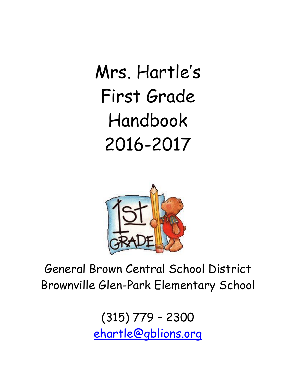Mrs. Hartle"s First Grade Handbook 2016-2017



# General Brown Central School District Brownville Glen-Park Elementary School

(315) 779 – 2300 [ehartle@gblions.org](mailto:ehartle@gblions.org)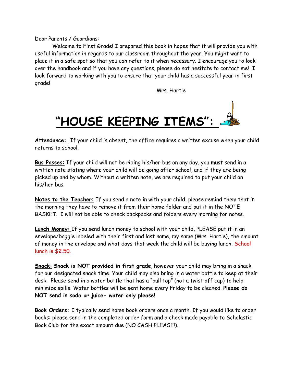Dear Parents / Guardians:

Welcome to First Grade! I prepared this book in hopes that it will provide you with useful information in regards to our classroom throughout the year. You might want to place it in a safe spot so that you can refer to it when necessary. I encourage you to look over the handbook and if you have any questions, please do not hesitate to contact me! I look forward to working with you to ensure that your child has a successful year in first grade!

Mrs. Hartle



Attendance: If your child is absent, the office requires a written excuse when your child returns to school.

**Bus Passes:** If your child will not be riding his/her bus on any day, you **must** send in a written note stating where your child will be going after school, and if they are being picked up and by whom. Without a written note, we are required to put your child on his/her bus.

**Notes to the Teacher:** If you send a note in with your child, please remind them that in the morning they have to remove it from their home folder and put it in the NOTE BASKET. I will not be able to check backpacks and folders every morning for notes.

**Lunch Money:** If you send lunch money to school with your child, PLEASE put it in an envelope/baggie labeled with their first and last name, my name (Mrs. Hartle), the amount of money in the envelope and what days that week the child will be buying lunch. School lunch is \$2.50.

**Snack: Snack is NOT provided in first grade**, however your child may bring in a snack for our designated snack time. Your child may also bring in a water bottle to keep at their desk. Please send in a water bottle that has a "pull top" (not a twist off cap) to help minimize spills. Water bottles will be sent home every Friday to be cleaned. **Please do NOT send in soda or juice- water only please**!

**Book Orders:** I typically send home book orders once a month. If you would like to order books: please send in the completed order form and a check made payable to Scholastic Book Club for the exact amount due (NO CASH PLEASE!).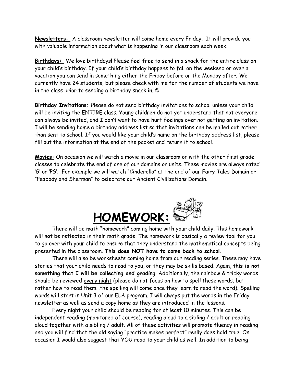**Newsletters:** A classroom newsletter will come home every Friday. It will provide you with valuable information about what is happening in our classroom each week.

**Birthdays:** We love birthdays! Please feel free to send in a snack for the entire class on your child"s birthday. If your child"s birthday happens to fall on the weekend or over a vacation you can send in something either the Friday before or the Monday after. We currently have 24 students, but please check with me for the number of students we have in the class prior to sending a birthday snack in.

**Birthday Invitations:** Please do not send birthday invitations to school unless your child will be inviting the ENTIRE class. Young children do not yet understand that not everyone can always be invited, and I don"t want to have hurt feelings over not getting an invitation. I will be sending home a birthday address list so that invitations can be mailed out rather than sent to school. If you would like your child"s name on the birthday address list, please fill out the information at the end of the packet and return it to school.

**Movies:** On occasion we will watch a movie in our classroom or with the other first grade classes to celebrate the end of one of our domains or units. These movies are always rated "G" or "PG". For example we will watch "Cinderella" at the end of our Fairy Tales Domain or "Peabody and Sherman" to celebrate our Ancient Civilizations Domain.



There will be math "homework" coming home with your child daily. This homework will **not** be reflected in their math grade. The homework is basically a review tool for you to go over with your child to ensure that they understand the mathematical concepts being presented in the classroom. **This does NOT have to come back to school**.

There will also be worksheets coming home from our reading series. These may have stories that your child needs to read to you, or they may be skills based. Again, **this is not something that I will be collecting and grading**. Additionally, the rainbow & tricky words should be reviewed every night (please do not focus on how to spell these words, but rather how to read them…the spelling will come once they learn to read the word). Spelling words will start in Unit 3 of our ELA program. I will always put the words in the Friday newsletter as well as send a copy home as they are introduced in the lessons.

Every night your child should be reading for at least 10 minutes. This can be independent reading (monitored of course), reading aloud to a sibling / adult or reading aloud together with a sibling / adult. All of these activities will promote fluency in reading and you will find that the old saying "practice makes perfect" really does hold true. On occasion I would also suggest that YOU read to your child as well. In addition to being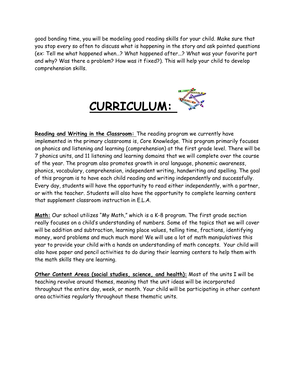good bonding time, you will be modeling good reading skills for your child. Make sure that you stop every so often to discuss what is happening in the story and ask pointed questions (ex: Tell me what happened when…? What happened after...? What was your favorite part and why? Was there a problem? How was it fixed?). This will help your child to develop comprehension skills.



**Reading and Writing in the Classroom:** The reading program we currently have implemented in the primary classrooms is, Core Knowledge. This program primarily focuses on phonics and listening and learning (comprehension) at the first grade level. There will be 7 phonics units, and 11 listening and learning domains that we will complete over the course of the year. The program also promotes growth in oral language, phonemic awareness, phonics, vocabulary, comprehension, independent writing, handwriting and spelling. The goal of this program is to have each child reading and writing independently and successfully. Every day, students will have the opportunity to read either independently, with a partner, or with the teacher. Students will also have the opportunity to complete learning centers that supplement classroom instruction in E.L.A.

**Math:** Our school utilizes "My Math," which is a K-8 program. The first grade section really focuses on a child"s understanding of numbers. Some of the topics that we will cover will be addition and subtraction, learning place values, telling time, fractions, identifying money, word problems and much much more! We will use a lot of math manipulatives this year to provide your child with a hands on understanding of math concepts. Your child will also have paper and pencil activities to do during their learning centers to help them with the math skills they are learning.

**Other Content Areas (social studies, science, and health):** Most of the units I will be teaching revolve around themes, meaning that the unit ideas will be incorporated throughout the entire day, week, or month. Your child will be participating in other content area activities regularly throughout these thematic units.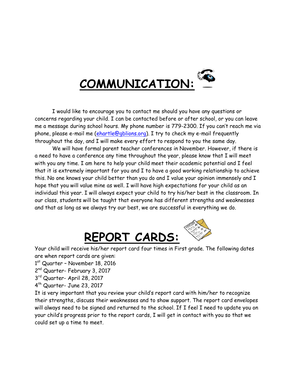

I would like to encourage you to contact me should you have any questions or concerns regarding your child. I can be contacted before or after school, or you can leave me a message during school hours. My phone number is 779-2300. If you can"t reach me via phone, please e-mail me [\(ehartle@gblions.org\)](mailto:ehartle@gblions.org). I try to check my e-mail frequently throughout the day, and I will make every effort to respond to you the same day.

We will have formal parent teacher conferences in November. However, if there is a need to have a conference any time throughout the year, please know that I will meet with you any time. I am here to help your child meet their academic potential and I feel that it is extremely important for you and I to have a good working relationship to achieve this. No one knows your child better than you do and I value your opinion immensely and I hope that you will value mine as well. I will have high expectations for your child as an individual this year. I will always expect your child to try his/her best in the classroom. In our class, students will be taught that everyone has different strengths and weaknesses and that as long as we always try our best, we are successful in everything we do.



Your child will receive his/her report card four times in First grade. The following dates are when report cards are given:

- 1<sup>st</sup> Quarter November 18, 2016
- 2<sup>nd</sup> Quarter- February 3, 2017
- 3 rd Quarter- April 28, 2017
- 4 th Quarter- June 23, 2017

It is very important that you review your child"s report card with him/her to recognize their strengths, discuss their weaknesses and to show support. The report card envelopes will always need to be signed and returned to the school. If I feel I need to update you on your child"s progress prior to the report cards, I will get in contact with you so that we could set up a time to meet.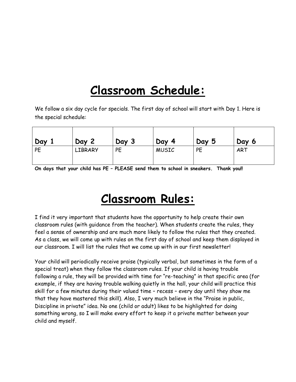## **Classroom Schedule:**

We follow a six day cycle for specials. The first day of school will start with Day 1. Here is the special schedule:

| Day       | Day 2          | Day 3 | Day<br>-4    | Day 5 | Day 6      |
|-----------|----------------|-------|--------------|-------|------------|
| <b>PE</b> | <b>LIBRARY</b> | PE    | <b>MUSIC</b> | PE    | <b>ART</b> |

**On days that your child has PE – PLEASE send them to school in sneakers. Thank you!!**

## **Classroom Rules:**

I find it very important that students have the opportunity to help create their own classroom rules (with guidance from the teacher). When students create the rules, they feel a sense of ownership and are much more likely to follow the rules that they created. As a class, we will come up with rules on the first day of school and keep them displayed in our classroom. I will list the rules that we come up with in our first newsletter!

Your child will periodically receive praise (typically verbal, but sometimes in the form of a special treat) when they follow the classroom rules. If your child is having trouble following a rule, they will be provided with time for "re-teaching" in that specific area (for example, if they are having trouble walking quietly in the hall, your child will practice this skill for a few minutes during their valued time – recess – every day until they show me that they have mastered this skill). Also, I very much believe in the "Praise in public, Discipline in private" idea. No one (child or adult) likes to be highlighted for doing something wrong, so I will make every effort to keep it a private matter between your child and myself.